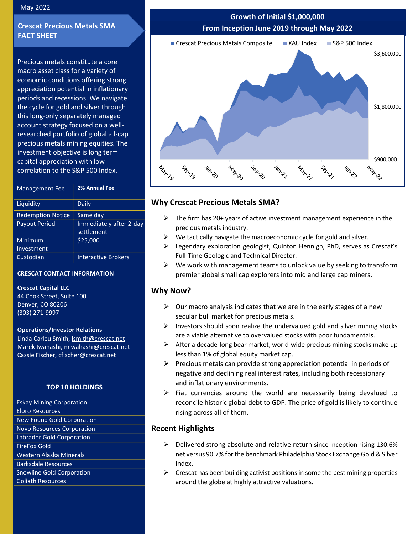#### May 2022

## **Crescat Precious Metals SMA FACT SHEET**

Precious metals constitute a core macro asset class for a variety of economic conditions offering strong appreciation potential in inflationary periods and recessions. We navigate the cycle for gold and silver through this long-only separately managed account strategy focused on a wellresearched portfolio of global all-cap precious metals mining equities. The investment objective is long term capital appreciation with low correlation to the S&P 500 Index.

| <b>Management Fee</b>    | 2% Annual Fee                         |
|--------------------------|---------------------------------------|
| Liquidity                | Daily                                 |
| <b>Redemption Notice</b> | Same day                              |
| <b>Payout Period</b>     | Immediately after 2-day<br>settlement |
| Minimum                  | \$25,000                              |
| Investment               |                                       |
| Custodian                | <b>Interactive Brokers</b>            |

#### **CRESCAT CONTACT INFORMATION**

**Crescat Capital LLC**

44 Cook Street, Suite 100 Denver, CO 80206 (303) 271-9997

#### **Operations/Investor Relations**

Linda Carleu Smith, [lsmith@crescat.net](mailto:lsmith@crescat.net) Marek Iwahashi, [miwahashi@crescat.net](mailto:miwahashi@crescat.net) Cassie Fischer, cfischer@crescat.net

#### **TOP 10 HOLDINGS**

Eskay Mining Corporation Eloro Resources New Found Gold Corporation Novo Resources Corporation Labrador Gold Corporation FireFox Gold Western Alaska Minerals Barksdale Resources Snowline Gold Corporation Goliath Resources

# **Growth of Initial \$1,000,000 From Inception June 2019 through May 2022**



# **Why Crescat Precious Metals SMA?**

- $\triangleright$  The firm has 20+ years of active investment management experience in the precious metals industry.
- $\triangleright$  We tactically navigate the macroeconomic cycle for gold and silver.
- ➢ Legendary exploration geologist, Quinton Hennigh, PhD, serves as Crescat's Full-Time Geologic and Technical Director.
- $\triangleright$  We work with management teams to unlock value by seeking to transform premier global small cap explorers into mid and large cap miners.

## **Why Now?**

- $\triangleright$  Our macro analysis indicates that we are in the early stages of a new secular bull market for precious metals.
- $\triangleright$  Investors should soon realize the undervalued gold and silver mining stocks are a viable alternative to overvalued stocks with poor fundamentals.
- $\triangleright$  After a decade-long bear market, world-wide precious mining stocks make up less than 1% of global equity market cap.
- $\triangleright$  Precious metals can provide strong appreciation potential in periods of negative and declining real interest rates, including both recessionary and inflationary environments.
- $\triangleright$  Fiat currencies around the world are necessarily being devalued to reconcile historic global debt to GDP. The price of gold is likely to continue rising across all of them.

## **Recent Highlights**

- ➢ Delivered strong absolute and relative return since inception rising 130.6% net versus 90.7% for the benchmark Philadelphia Stock Exchange Gold & Silver Index.
- $\triangleright$  Crescat has been building activist positions in some the best mining properties around the globe at highly attractive valuations.